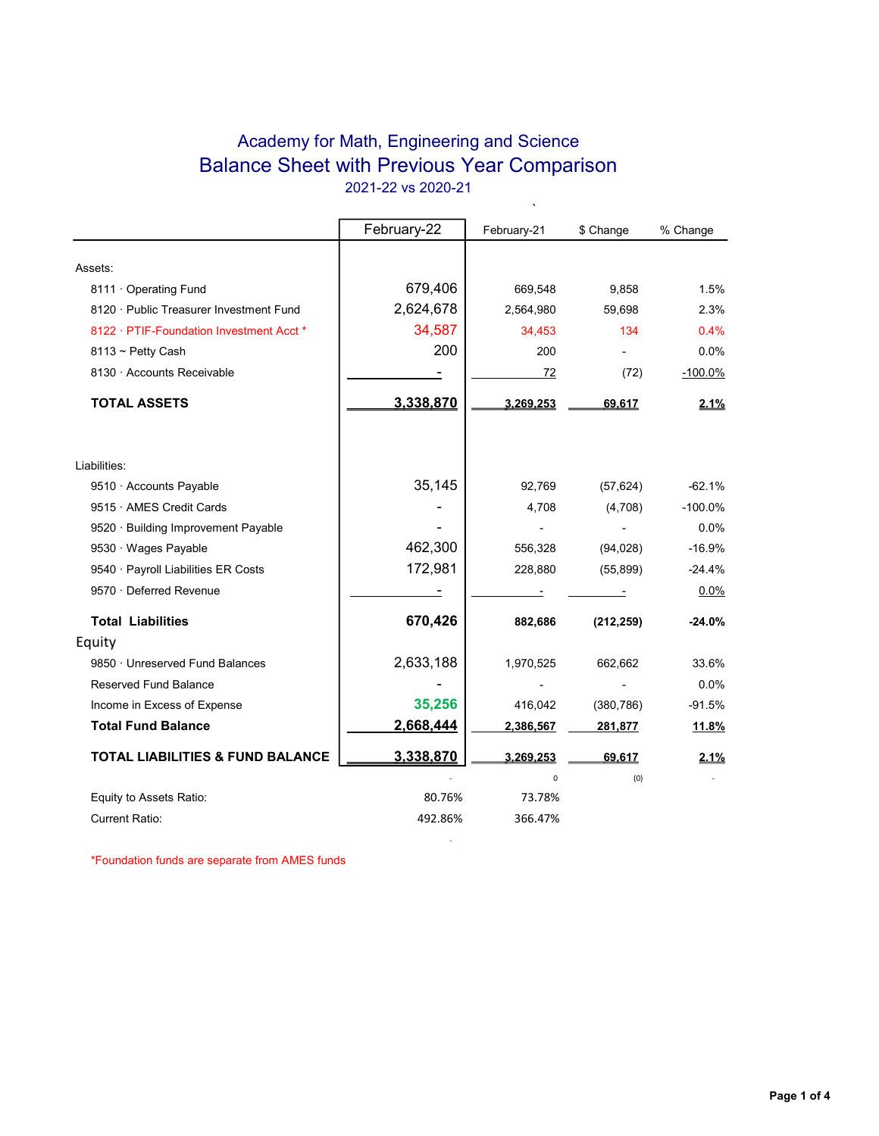## Academy for Math, Engineering and Science Balance Sheet with Previous Year Comparison 2021-22 vs 2020-21

 $\ddot{\phantom{0}}$ 

|                                             | February-22 | February-21 | \$ Change  | % Change  |
|---------------------------------------------|-------------|-------------|------------|-----------|
|                                             |             |             |            |           |
| Assets:                                     |             |             |            |           |
| 8111 Operating Fund                         | 679,406     | 669,548     | 9,858      | 1.5%      |
| 8120 · Public Treasurer Investment Fund     | 2,624,678   | 2,564,980   | 59,698     | 2.3%      |
| 8122 · PTIF-Foundation Investment Acct *    | 34,587      | 34,453      | 134        | 0.4%      |
| $8113 \sim$ Petty Cash                      | 200         | 200         |            | 0.0%      |
| 8130 · Accounts Receivable                  |             | 72          | (72)       | $-100.0%$ |
| <b>TOTAL ASSETS</b>                         | 3,338,870   | 3.269.253   | 69,617     | 2.1%      |
| Liabilities:                                |             |             |            |           |
| 9510 · Accounts Payable                     | 35,145      | 92,769      | (57, 624)  | $-62.1%$  |
| 9515 · AMES Credit Cards                    |             | 4,708       | (4,708)    | $-100.0%$ |
| 9520 · Building Improvement Payable         |             |             |            | 0.0%      |
| 9530 · Wages Payable                        | 462,300     | 556,328     | (94, 028)  | $-16.9%$  |
| 9540 · Payroll Liabilities ER Costs         | 172,981     | 228,880     | (55, 899)  | $-24.4%$  |
| 9570 · Deferred Revenue                     |             |             |            | 0.0%      |
| <b>Total Liabilities</b>                    | 670,426     | 882,686     | (212, 259) | $-24.0%$  |
| Equity                                      |             |             |            |           |
| 9850 · Unreserved Fund Balances             | 2,633,188   | 1,970,525   | 662,662    | 33.6%     |
| Reserved Fund Balance                       |             |             |            | 0.0%      |
| Income in Excess of Expense                 | 35,256      | 416,042     | (380, 786) | $-91.5%$  |
| <b>Total Fund Balance</b>                   | 2,668,444   | 2,386,567   | 281,877    | 11.8%     |
| <b>TOTAL LIABILITIES &amp; FUND BALANCE</b> | 3,338,870   | 3,269,253   | 69,617     | 2.1%      |
|                                             |             | 0           | (0)        |           |
| Equity to Assets Ratio:                     | 80.76%      | 73.78%      |            |           |
| Current Ratio:                              | 492.86%     | 366.47%     |            |           |

**- All and State State** 

\*Foundation funds are separate from AMES funds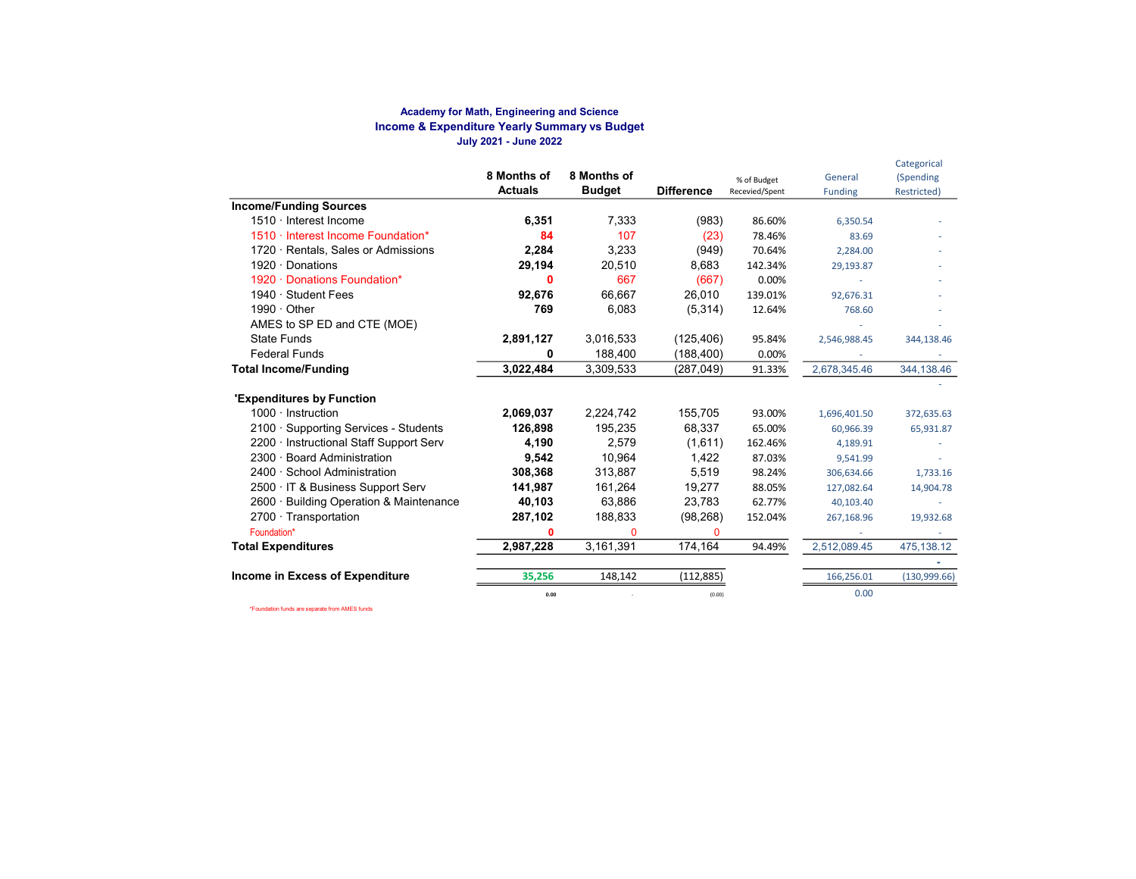#### Academy for Math, Engineering and Science Income & Expenditure Yearly Summary vs Budget July 2021 - June 2022

|                                         | 8 Months of<br><b>Actuals</b> | 8 Months of<br><b>Budget</b> | <b>Difference</b> | % of Budget<br>Recevied/Spent | General<br><b>Funding</b> | Categorical<br>(Spending<br>Restricted) |
|-----------------------------------------|-------------------------------|------------------------------|-------------------|-------------------------------|---------------------------|-----------------------------------------|
| <b>Income/Funding Sources</b>           |                               |                              |                   |                               |                           |                                         |
| 1510 · Interest Income                  | 6,351                         | 7,333                        | (983)             | 86.60%                        | 6,350.54                  |                                         |
| 1510 · Interest Income Foundation*      | 84                            | 107                          | (23)              | 78.46%                        | 83.69                     |                                         |
| 1720 · Rentals, Sales or Admissions     | 2,284                         | 3,233                        | (949)             | 70.64%                        | 2,284.00                  |                                         |
| 1920 $\cdot$ Donations                  | 29,194                        | 20,510                       | 8,683             | 142.34%                       | 29,193.87                 |                                         |
| 1920 · Donations Foundation*            | 0                             | 667                          | (667)             | 0.00%                         |                           |                                         |
| 1940 · Student Fees                     | 92,676                        | 66.667                       | 26,010            | 139.01%                       | 92,676.31                 |                                         |
| $1990 \cdot$ Other                      | 769                           | 6,083                        | (5,314)           | 12.64%                        | 768.60                    |                                         |
| AMES to SP ED and CTE (MOE)             |                               |                              |                   |                               |                           |                                         |
| <b>State Funds</b>                      | 2,891,127                     | 3,016,533                    | (125, 406)        | 95.84%                        | 2,546,988.45              | 344,138.46                              |
| <b>Federal Funds</b>                    | ŋ                             | 188,400                      | (188, 400)        | 0.00%                         |                           |                                         |
| <b>Total Income/Funding</b>             | 3,022,484                     | 3,309,533                    | (287, 049)        | 91.33%                        | 2,678,345.46              | 344,138.46                              |
| 'Expenditures by Function               |                               |                              |                   |                               |                           |                                         |
| $1000 \cdot$ Instruction                | 2,069,037                     | 2,224,742                    | 155,705           | 93.00%                        | 1,696,401.50              | 372,635.63                              |
| 2100 · Supporting Services - Students   | 126.898                       | 195.235                      | 68,337            | 65.00%                        | 60,966.39                 | 65,931.87                               |
| 2200 · Instructional Staff Support Serv | 4,190                         | 2,579                        | (1,611)           | 162.46%                       | 4,189.91                  |                                         |
| <b>Board Administration</b><br>$2300 -$ | 9,542                         | 10.964                       | 1,422             | 87.03%                        | 9,541.99                  |                                         |
| 2400 · School Administration            | 308,368                       | 313,887                      | 5,519             | 98.24%                        | 306,634.66                | 1,733.16                                |
| 2500 · IT & Business Support Serv       | 141,987                       | 161,264                      | 19,277            | 88.05%                        | 127,082.64                | 14,904.78                               |
| 2600 · Building Operation & Maintenance | 40,103                        | 63,886                       | 23,783            | 62.77%                        | 40,103.40                 |                                         |
| $2700 \cdot$ Transportation             | 287,102                       | 188,833                      | (98, 268)         | 152.04%                       | 267,168.96                | 19,932.68                               |
| Foundation*                             | 0                             | $\Omega$                     | $\Omega$          |                               |                           |                                         |
| <b>Total Expenditures</b>               | 2,987,228                     | 3,161,391                    | 174,164           | 94.49%                        | 2,512,089.45              | 475,138.12                              |
|                                         |                               |                              |                   |                               |                           |                                         |
| Income in Excess of Expenditure         | 35,256                        | 148,142                      | (112, 885)        |                               | 166,256.01                | (130, 999.66)                           |
|                                         | 0.00                          |                              | (0.00)            |                               | 0.00                      |                                         |

\*Foundation funds are separate from AMES funds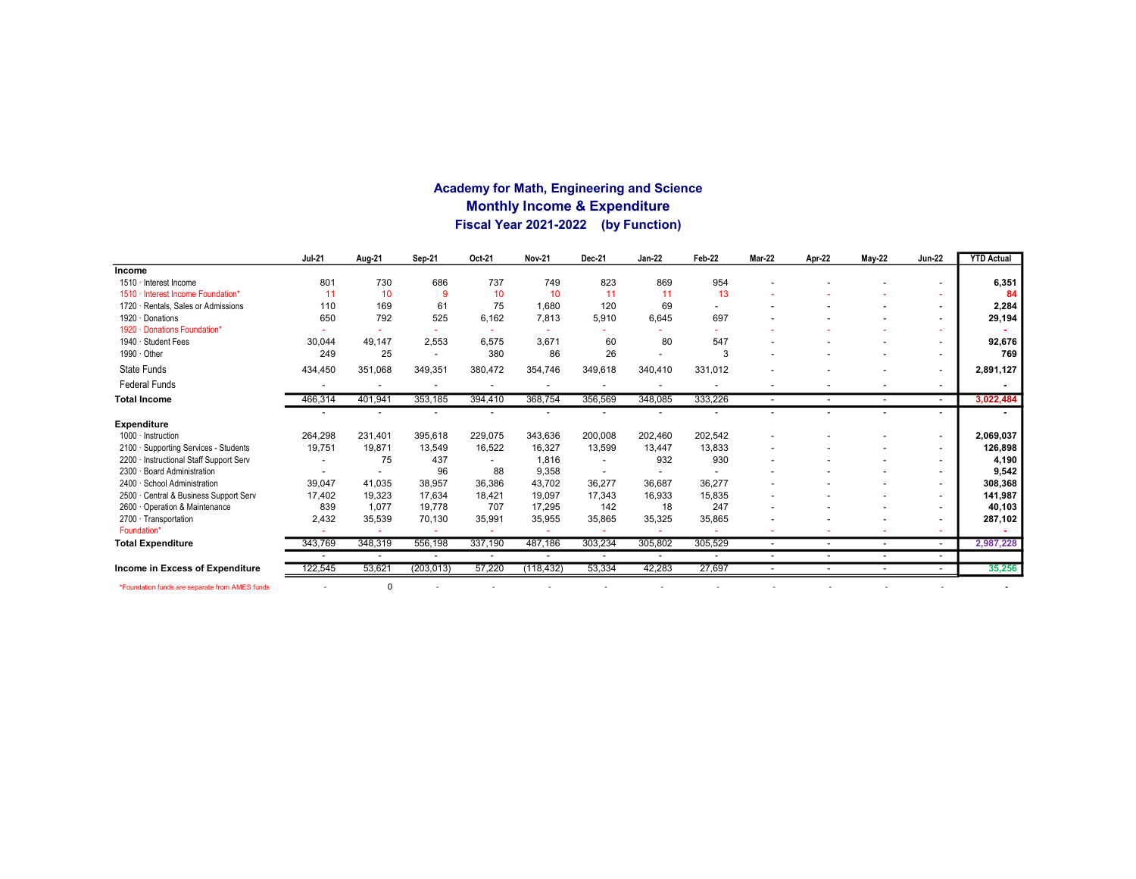### Academy for Math, Engineering and Science Monthly Income & Expenditure Fiscal Year 2021-2022 (by Function)

|                                                | <b>Jul-21</b> | Aug-21  | Sep-21                   | Oct-21  | <b>Nov-21</b> | Dec-21  | <b>Jan-22</b> | Feb-22  | <b>Mar-22</b>            | Apr-22                   | <b>May-22</b>            | <b>Jun-22</b>            | <b>YTD Actual</b> |
|------------------------------------------------|---------------|---------|--------------------------|---------|---------------|---------|---------------|---------|--------------------------|--------------------------|--------------------------|--------------------------|-------------------|
| <b>Income</b>                                  |               |         |                          |         |               |         |               |         |                          |                          |                          |                          |                   |
| 1510 · Interest Income                         | 801           | 730     | 686                      | 737     | 749           | 823     | 869           | 954     |                          |                          |                          |                          | 6,351             |
| Interest Income Foundation*<br>$1510 -$        | 11            | 10      | 9                        | 10      | 10            | 11      | 11            | 13      |                          |                          |                          |                          | 84                |
| Rentals, Sales or Admissions<br>$1720 -$       | 110           | 169     | 61                       | 75      | 1,680         | 120     | 69            |         |                          |                          |                          |                          | 2,284             |
| 1920 Donations                                 | 650           | 792     | 525                      | 6,162   | 7,813         | 5,910   | 6,645         | 697     |                          |                          |                          | $\overline{\phantom{a}}$ | 29,194            |
| 1920 · Donations Foundation*                   |               |         |                          |         |               |         |               |         |                          |                          |                          |                          |                   |
| 1940 · Student Fees                            | 30,044        | 49.147  | 2,553                    | 6,575   | 3,671         | 60      | 80            | 547     |                          |                          |                          |                          | 92,676            |
| 1990 · Other                                   | 249           | 25      | $\overline{\phantom{a}}$ | 380     | 86            | 26      |               | 3       |                          |                          |                          | $\overline{\phantom{a}}$ | 769               |
| State Funds                                    | 434,450       | 351,068 | 349,351                  | 380,472 | 354,746       | 349,618 | 340,410       | 331,012 |                          |                          |                          | $\overline{a}$           | 2,891,127         |
| <b>Federal Funds</b>                           |               |         | $\overline{\phantom{a}}$ |         |               |         |               |         |                          |                          |                          | $\overline{\phantom{a}}$ |                   |
| <b>Total Income</b>                            | 466,314       | 401,941 | 353,185                  | 394,410 | 368,754       | 356,569 | 348,085       | 333,226 | $\sim$                   | $\overline{\phantom{a}}$ | $\sim$                   | $\sim$                   | 3,022,484         |
|                                                |               |         |                          |         |               |         |               |         |                          |                          |                          | $\overline{a}$           |                   |
| <b>Expenditure</b>                             |               |         |                          |         |               |         |               |         |                          |                          |                          |                          |                   |
| 1000 · Instruction                             | 264,298       | 231,401 | 395,618                  | 229.075 | 343,636       | 200,008 | 202,460       | 202,542 |                          |                          |                          | $\overline{\phantom{a}}$ | 2,069,037         |
| 2100 · Supporting Services - Students          | 19,751        | 19,871  | 13,549                   | 16,522  | 16,327        | 13,599  | 13.447        | 13,833  |                          |                          |                          | $\overline{\phantom{a}}$ | 126,898           |
| Instructional Staff Support Serv<br>$2200 -$   |               | 75      | 437                      |         | 1.816         |         | 932           | 930     |                          |                          |                          | $\overline{\phantom{a}}$ | 4,190             |
| <b>Board Administration</b><br>$2300 -$        |               |         | 96                       | 88      | 9,358         |         |               |         |                          |                          |                          | $\overline{\phantom{a}}$ | 9,542             |
| 2400 · School Administration                   | 39,047        | 41,035  | 38,957                   | 36,386  | 43.702        | 36,277  | 36,687        | 36,277  |                          |                          |                          | $\overline{a}$           | 308,368           |
| 2500 · Central & Business Support Serv         | 17,402        | 19,323  | 17,634                   | 18,421  | 19,097        | 17,343  | 16,933        | 15,835  |                          |                          |                          | $\overline{\phantom{a}}$ | 141,987           |
| 2600 Operation & Maintenance                   | 839           | 1,077   | 19,778                   | 707     | 17,295        | 142     | 18            | 247     |                          |                          |                          | $\overline{\phantom{a}}$ | 40,103            |
| 2700 · Transportation                          | 2,432         | 35,539  | 70,130                   | 35,991  | 35,955        | 35,865  | 35,325        | 35,865  |                          |                          |                          |                          | 287,102           |
| Foundation*                                    |               |         |                          |         |               |         |               |         |                          |                          |                          |                          |                   |
| <b>Total Expenditure</b>                       | 343,769       | 348,319 | 556,198                  | 337,190 | 487.186       | 303,234 | 305,802       | 305,529 | $\overline{\phantom{0}}$ | $\overline{\phantom{a}}$ | $\overline{\phantom{a}}$ | $\sim$                   | 2,987,228         |
|                                                |               |         |                          |         |               |         |               |         |                          |                          |                          | $\overline{\phantom{a}}$ |                   |
| Income in Excess of Expenditure                | 122,545       | 53,621  | (203, 013)               | 57,220  | (118, 432)    | 53,334  | 42,283        | 27,697  |                          |                          |                          | $\overline{\phantom{a}}$ | 35,256            |
| *Foundation funds are separate from AMES funds |               | 0       |                          |         |               |         |               |         |                          |                          |                          |                          |                   |